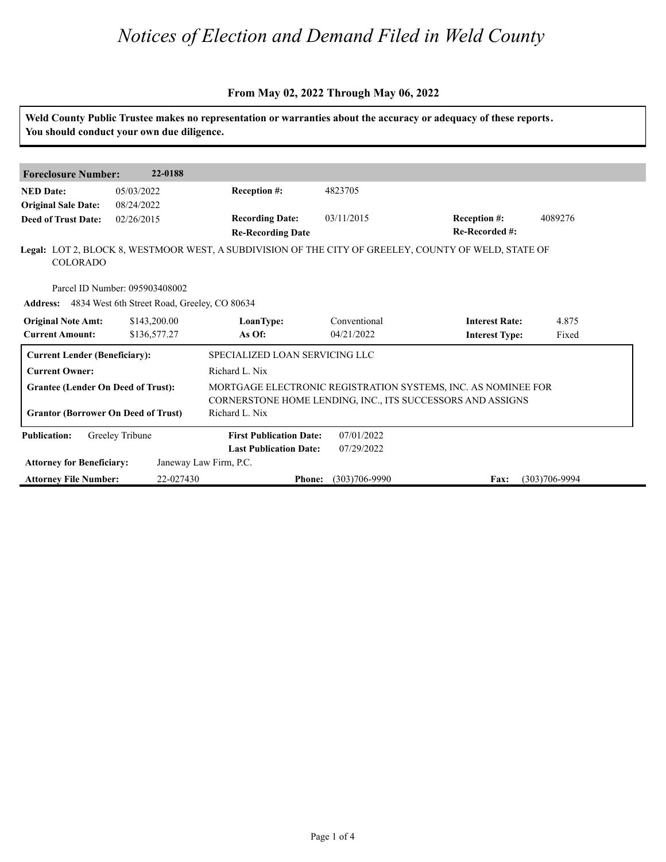#### **From May 02, 2022 Through May 06, 2022**

|                                                     | You should conduct your own due diligence.                                                     |                                                                                                                             |                            | Weld County Public Trustee makes no representation or warranties about the accuracy or adequacy of these reports. |                   |  |
|-----------------------------------------------------|------------------------------------------------------------------------------------------------|-----------------------------------------------------------------------------------------------------------------------------|----------------------------|-------------------------------------------------------------------------------------------------------------------|-------------------|--|
|                                                     |                                                                                                |                                                                                                                             |                            |                                                                                                                   |                   |  |
| <b>Foreclosure Number:</b>                          | 22-0188                                                                                        |                                                                                                                             |                            |                                                                                                                   |                   |  |
| <b>NED Date:</b><br><b>Original Sale Date:</b>      | 05/03/2022<br>08/24/2022                                                                       | Reception #:                                                                                                                | 4823705                    |                                                                                                                   |                   |  |
| <b>Deed of Trust Date:</b>                          | 02/26/2015                                                                                     | <b>Recording Date:</b><br><b>Re-Recording Date</b>                                                                          | 03/11/2015                 | Reception #:<br>Re-Recorded #:                                                                                    | 4089276           |  |
| <b>COLORADO</b>                                     |                                                                                                |                                                                                                                             |                            | Legal: LOT 2, BLOCK 8, WESTMOOR WEST, A SUBDIVISION OF THE CITY OF GREELEY, COUNTY OF WELD, STATE OF              |                   |  |
|                                                     | Parcel ID Number: 095903408002<br><b>Address:</b> 4834 West 6th Street Road, Greeley, CO 80634 |                                                                                                                             |                            |                                                                                                                   |                   |  |
| <b>Original Note Amt:</b><br><b>Current Amount:</b> | \$143,200.00<br>\$136,577.27                                                                   | LoanType:<br>As Of:                                                                                                         | Conventional<br>04/21/2022 | <b>Interest Rate:</b><br><b>Interest Type:</b>                                                                    | 4.875<br>Fixed    |  |
| <b>Current Lender (Beneficiary):</b>                |                                                                                                | SPECIALIZED LOAN SERVICING LLC                                                                                              |                            |                                                                                                                   |                   |  |
| <b>Current Owner:</b>                               |                                                                                                | Richard L. Nix                                                                                                              |                            |                                                                                                                   |                   |  |
| <b>Grantee (Lender On Deed of Trust):</b>           |                                                                                                | MORTGAGE ELECTRONIC REGISTRATION SYSTEMS, INC. AS NOMINEE FOR<br>CORNERSTONE HOME LENDING, INC., ITS SUCCESSORS AND ASSIGNS |                            |                                                                                                                   |                   |  |
| <b>Grantor (Borrower On Deed of Trust)</b>          |                                                                                                | Richard L. Nix                                                                                                              |                            |                                                                                                                   |                   |  |
| <b>Publication:</b>                                 | Greeley Tribune                                                                                | <b>First Publication Date:</b><br><b>Last Publication Date:</b>                                                             | 07/01/2022<br>07/29/2022   |                                                                                                                   |                   |  |
| <b>Attorney for Beneficiary:</b>                    |                                                                                                | Janeway Law Firm, P.C.                                                                                                      |                            |                                                                                                                   |                   |  |
| <b>Attorney File Number:</b>                        | 22-027430                                                                                      | <b>Phone:</b>                                                                                                               | $(303)706 - 9990$          | Fax:                                                                                                              | $(303)706 - 9994$ |  |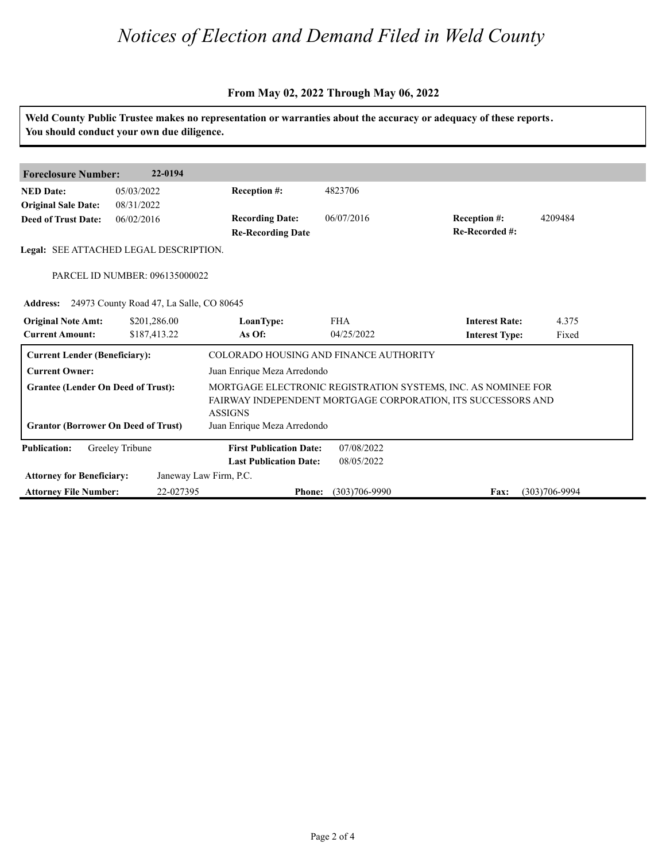### **From May 02, 2022 Through May 06, 2022**

| Weld County Public Trustee makes no representation or warranties about the accuracy or adequacy of these reports.<br>You should conduct your own due diligence. |                                                   |                                               |                             |                                                               |                   |  |  |
|-----------------------------------------------------------------------------------------------------------------------------------------------------------------|---------------------------------------------------|-----------------------------------------------|-----------------------------|---------------------------------------------------------------|-------------------|--|--|
|                                                                                                                                                                 |                                                   |                                               |                             |                                                               |                   |  |  |
| <b>Foreclosure Number:</b>                                                                                                                                      | 22-0194                                           |                                               |                             |                                                               |                   |  |  |
| <b>NED Date:</b>                                                                                                                                                | 05/03/2022                                        | <b>Reception #:</b>                           | 4823706                     |                                                               |                   |  |  |
| <b>Original Sale Date:</b>                                                                                                                                      | 08/31/2022                                        |                                               |                             |                                                               |                   |  |  |
| <b>Deed of Trust Date:</b>                                                                                                                                      | 06/02/2016                                        | <b>Recording Date:</b>                        | 06/07/2016                  | Reception #:                                                  | 4209484           |  |  |
|                                                                                                                                                                 |                                                   | <b>Re-Recording Date</b>                      |                             | Re-Recorded #:                                                |                   |  |  |
|                                                                                                                                                                 | Legal: SEE ATTACHED LEGAL DESCRIPTION.            |                                               |                             |                                                               |                   |  |  |
|                                                                                                                                                                 |                                                   |                                               |                             |                                                               |                   |  |  |
|                                                                                                                                                                 | PARCEL ID NUMBER: 096135000022                    |                                               |                             |                                                               |                   |  |  |
|                                                                                                                                                                 | Address: 24973 County Road 47, La Salle, CO 80645 |                                               |                             |                                                               |                   |  |  |
| <b>Original Note Amt:</b>                                                                                                                                       | \$201,286.00                                      | LoanType:                                     | <b>FHA</b>                  | <b>Interest Rate:</b>                                         | 4.375             |  |  |
| <b>Current Amount:</b>                                                                                                                                          | \$187,413.22                                      | As Of:                                        | 04/25/2022                  | <b>Interest Type:</b>                                         | Fixed             |  |  |
|                                                                                                                                                                 |                                                   |                                               |                             |                                                               |                   |  |  |
| <b>Current Lender (Beneficiary):</b>                                                                                                                            |                                                   | COLORADO HOUSING AND FINANCE AUTHORITY        |                             |                                                               |                   |  |  |
| <b>Current Owner:</b>                                                                                                                                           |                                                   |                                               | Juan Enrique Meza Arredondo |                                                               |                   |  |  |
| <b>Grantee (Lender On Deed of Trust):</b>                                                                                                                       |                                                   |                                               |                             | MORTGAGE ELECTRONIC REGISTRATION SYSTEMS, INC. AS NOMINEE FOR |                   |  |  |
|                                                                                                                                                                 |                                                   |                                               |                             | FAIRWAY INDEPENDENT MORTGAGE CORPORATION, ITS SUCCESSORS AND  |                   |  |  |
| <b>Grantor (Borrower On Deed of Trust)</b>                                                                                                                      |                                                   | <b>ASSIGNS</b><br>Juan Enrique Meza Arredondo |                             |                                                               |                   |  |  |
|                                                                                                                                                                 |                                                   |                                               |                             |                                                               |                   |  |  |
| <b>Publication:</b>                                                                                                                                             | Greeley Tribune                                   | <b>First Publication Date:</b>                | 07/08/2022                  |                                                               |                   |  |  |
|                                                                                                                                                                 |                                                   | <b>Last Publication Date:</b>                 | 08/05/2022                  |                                                               |                   |  |  |
| <b>Attorney for Beneficiary:</b>                                                                                                                                |                                                   | Janeway Law Firm, P.C.                        |                             |                                                               |                   |  |  |
| <b>Attorney File Number:</b>                                                                                                                                    | 22-027395                                         | <b>Phone:</b>                                 | $(303)706 - 9990$           | Fax:                                                          | $(303)706 - 9994$ |  |  |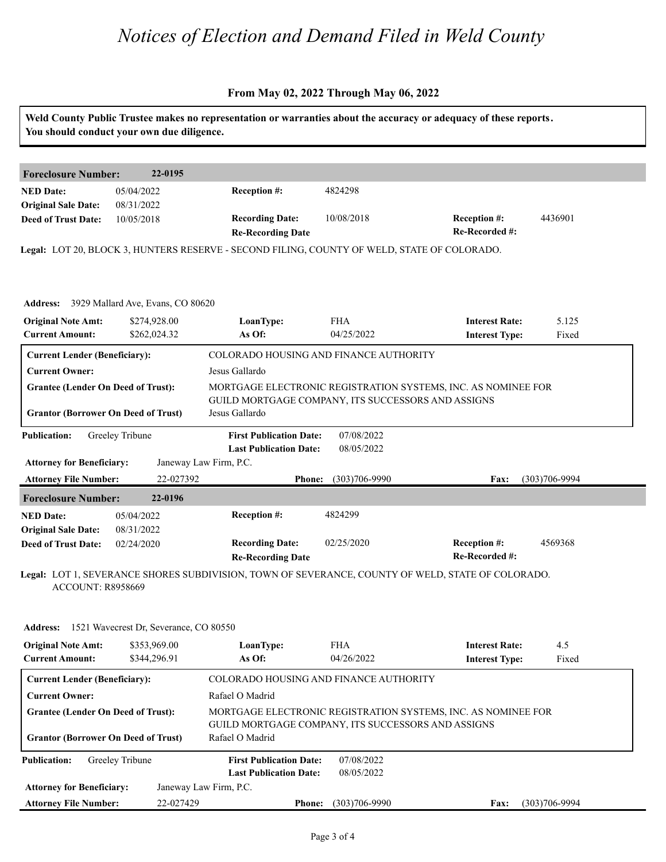#### **From May 02, 2022 Through May 06, 2022**

|                                            | You should conduct your own due diligence.      |                                                                                             |                   | Weld County Public Trustee makes no representation or warranties about the accuracy or adequacy of these reports. |                   |  |  |
|--------------------------------------------|-------------------------------------------------|---------------------------------------------------------------------------------------------|-------------------|-------------------------------------------------------------------------------------------------------------------|-------------------|--|--|
| <b>Foreclosure Number:</b>                 | 22-0195                                         |                                                                                             |                   |                                                                                                                   |                   |  |  |
| <b>NED Date:</b>                           | 05/04/2022                                      | Reception #:                                                                                | 4824298           |                                                                                                                   |                   |  |  |
| <b>Original Sale Date:</b>                 | 08/31/2022                                      |                                                                                             |                   |                                                                                                                   |                   |  |  |
| <b>Deed of Trust Date:</b>                 | 10/05/2018                                      | <b>Recording Date:</b>                                                                      | 10/08/2018        | <b>Reception #:</b>                                                                                               | 4436901           |  |  |
|                                            |                                                 | <b>Re-Recording Date</b>                                                                    |                   | Re-Recorded #:                                                                                                    |                   |  |  |
|                                            |                                                 | Legal: LOT 20, BLOCK 3, HUNTERS RESERVE - SECOND FILING, COUNTY OF WELD, STATE OF COLORADO. |                   |                                                                                                                   |                   |  |  |
|                                            |                                                 |                                                                                             |                   |                                                                                                                   |                   |  |  |
|                                            | Address: 3929 Mallard Ave, Evans, CO 80620      |                                                                                             |                   |                                                                                                                   |                   |  |  |
| <b>Original Note Amt:</b>                  | \$274,928.00                                    | LoanType:                                                                                   | <b>FHA</b>        | <b>Interest Rate:</b>                                                                                             | 5.125             |  |  |
| <b>Current Amount:</b>                     | \$262,024.32                                    | As Of:                                                                                      | 04/25/2022        | <b>Interest Type:</b>                                                                                             | Fixed             |  |  |
| <b>Current Lender (Beneficiary):</b>       |                                                 | COLORADO HOUSING AND FINANCE AUTHORITY                                                      |                   |                                                                                                                   |                   |  |  |
| <b>Current Owner:</b>                      |                                                 | Jesus Gallardo                                                                              |                   |                                                                                                                   |                   |  |  |
| <b>Grantee (Lender On Deed of Trust):</b>  |                                                 |                                                                                             |                   | MORTGAGE ELECTRONIC REGISTRATION SYSTEMS, INC. AS NOMINEE FOR                                                     |                   |  |  |
|                                            |                                                 | GUILD MORTGAGE COMPANY, ITS SUCCESSORS AND ASSIGNS                                          |                   |                                                                                                                   |                   |  |  |
| <b>Grantor (Borrower On Deed of Trust)</b> |                                                 | Jesus Gallardo                                                                              |                   |                                                                                                                   |                   |  |  |
| <b>Publication:</b>                        | Greeley Tribune                                 | <b>First Publication Date:</b>                                                              | 07/08/2022        |                                                                                                                   |                   |  |  |
|                                            |                                                 | <b>Last Publication Date:</b>                                                               | 08/05/2022        |                                                                                                                   |                   |  |  |
| <b>Attorney for Beneficiary:</b>           |                                                 | Janeway Law Firm, P.C.                                                                      |                   |                                                                                                                   |                   |  |  |
| <b>Attorney File Number:</b>               | 22-027392                                       | <b>Phone:</b>                                                                               | $(303)706 - 9990$ | Fax:                                                                                                              | $(303)706 - 9994$ |  |  |
| <b>Foreclosure Number:</b>                 | 22-0196                                         |                                                                                             |                   |                                                                                                                   |                   |  |  |
| <b>NED Date:</b>                           | 05/04/2022                                      | Reception #:                                                                                | 4824299           |                                                                                                                   |                   |  |  |
| <b>Original Sale Date:</b>                 | 08/31/2022                                      |                                                                                             |                   |                                                                                                                   |                   |  |  |
| <b>Deed of Trust Date:</b>                 | 02/24/2020                                      | <b>Recording Date:</b>                                                                      | 02/25/2020        | Reception #:                                                                                                      | 4569368           |  |  |
|                                            |                                                 | <b>Re-Recording Date</b>                                                                    |                   | Re-Recorded #:                                                                                                    |                   |  |  |
| ACCOUNT: R8958669                          |                                                 |                                                                                             |                   | Legal: LOT 1, SEVERANCE SHORES SUBDIVISION, TOWN OF SEVERANCE, COUNTY OF WELD, STATE OF COLORADO.                 |                   |  |  |
|                                            | Address: 1521 Wavecrest Dr, Severance, CO 80550 |                                                                                             |                   |                                                                                                                   |                   |  |  |
| <b>Original Note Amt:</b>                  | \$353,969.00                                    | LoanType:                                                                                   | <b>FHA</b>        | <b>Interest Rate:</b>                                                                                             | 4.5               |  |  |
| <b>Current Amount:</b>                     | \$344,296.91                                    | As Of:                                                                                      | 04/26/2022        | <b>Interest Type:</b>                                                                                             | Fixed             |  |  |
| <b>Current Lender (Beneficiary):</b>       |                                                 | COLORADO HOUSING AND FINANCE AUTHORITY                                                      |                   |                                                                                                                   |                   |  |  |
| <b>Current Owner:</b>                      |                                                 | Rafael O Madrid                                                                             |                   |                                                                                                                   |                   |  |  |
| <b>Grantee (Lender On Deed of Trust):</b>  |                                                 | MORTGAGE ELECTRONIC REGISTRATION SYSTEMS, INC. AS NOMINEE FOR                               |                   |                                                                                                                   |                   |  |  |
| <b>Grantor (Borrower On Deed of Trust)</b> |                                                 | GUILD MORTGAGE COMPANY, ITS SUCCESSORS AND ASSIGNS                                          |                   |                                                                                                                   |                   |  |  |
|                                            |                                                 | Rafael O Madrid                                                                             |                   |                                                                                                                   |                   |  |  |
| <b>Publication:</b>                        | Greeley Tribune                                 | <b>First Publication Date:</b>                                                              | 07/08/2022        |                                                                                                                   |                   |  |  |
|                                            |                                                 | <b>Last Publication Date:</b>                                                               | 08/05/2022        |                                                                                                                   |                   |  |  |
| <b>Attorney for Beneficiary:</b>           |                                                 | Janeway Law Firm, P.C.                                                                      |                   |                                                                                                                   |                   |  |  |
| <b>Attorney File Number:</b>               | 22-027429                                       | <b>Phone:</b>                                                                               | $(303)706 - 9990$ | Fax:                                                                                                              | $(303)706 - 9994$ |  |  |